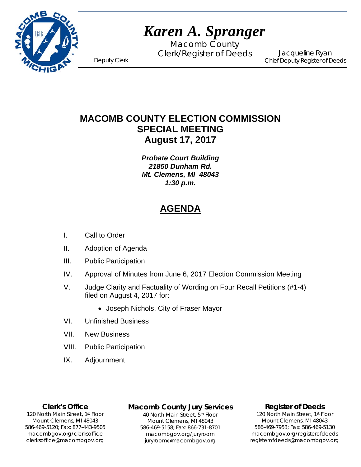

# *Karen A. Spranger*

Macomb County Clerk/Register of Deeds Deputy Clerk

Jacqueline Ryan Chief Deputy Register of Deeds

# **MACOMB COUNTY ELECTION COMMISSION SPECIAL MEETING August 17, 2017**

*Probate Court Building 21850 Dunham Rd. Mt. Clemens, MI 48043 1:30 p.m.* 

# **AGENDA**

- I. Call to Order
- II. Adoption of Agenda
- III. Public Participation
- IV. Approval of Minutes from June 6, 2017 Election Commission Meeting
- V. Judge Clarity and Factuality of Wording on Four Recall Petitions (#1-4) filed on August 4, 2017 for:
	- Joseph Nichols, City of Fraser Mayor
- VI. Unfinished Business
- VII. New Business
- VIII. Public Participation
- IX. Adjournment

#### **Clerk's Office**

1`40 clerksoffice@macombgov.org 120 North Main Street, 1st Floor Mount Clemens, MI 48043 586-469-5120; Fax: 877-443-9505 macombgov.org/clerksoffice

## **Macomb County Jury Services**

40 North Main Street, 5th Floor Mount Clemens, MI 48043 586-469-5158; Fax: 866-731-8701 macombgov.org/juryroom juryroom@macombgov.org

#### **Register of Deeds**

120 North Main Street, 1st Floor Mount Clemens, MI 48043 586-469-7953; Fax: 586-469-5130 macombgov.org/registerofdeeds registerofdeeds@macombgov.org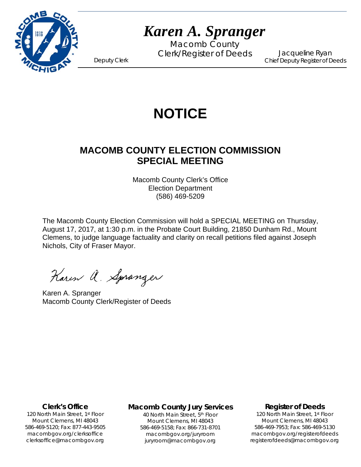

# *Karen A. Spranger*

Macomb County Clerk/Register of Deeds Deputy Clerk

Jacqueline Ryan Chief Deputy Register of Deeds

# **NOTICE**

# **MACOMB COUNTY ELECTION COMMISSION SPECIAL MEETING**

Macomb County Clerk's Office Election Department (586) 469-5209

The Macomb County Election Commission will hold a SPECIAL MEETING on Thursday, August 17, 2017, at 1:30 p.m. in the Probate Court Building, 21850 Dunham Rd., Mount Clemens, to judge language factuality and clarity on recall petitions filed against Joseph Nichols, City of Fraser Mayor.

Karen a. Spranger

Karen A. Spranger Macomb County Clerk/Register of Deeds

#### **Clerk's Office**

1`40 clerksoffice@macombgov.org 120 North Main Street, 1st Floor Mount Clemens, MI 48043 586-469-5120; Fax: 877-443-9505 macombgov.org/clerksoffice

#### **Macomb County Jury Services**

40 North Main Street, 5th Floor Mount Clemens, MI 48043 586-469-5158; Fax: 866-731-8701 macombgov.org/juryroom juryroom@macombgov.org

#### **Register of Deeds**

120 North Main Street, 1st Floor Mount Clemens, MI 48043 586-469-7953; Fax: 586-469-5130 macombgov.org/registerofdeeds registerofdeeds@macombgov.org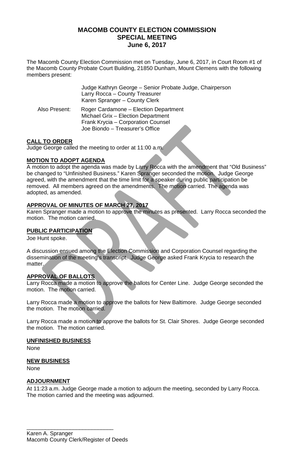## **MACOMB COUNTY ELECTION COMMISSION SPECIAL MEETING June 6, 2017**

The Macomb County Election Commission met on Tuesday, June 6, 2017, in Court Room #1 of the Macomb County Probate Court Building, 21850 Dunham, Mount Clemens with the following members present:

|               | Judge Kathryn George - Senior Probate Judge, Chairperson<br>Larry Rocca - County Treasurer<br>Karen Spranger - County Clerk                          |
|---------------|------------------------------------------------------------------------------------------------------------------------------------------------------|
| Also Present: | Roger Cardamone - Election Department<br>Michael Grix - Election Department<br>Frank Krycia - Corporation Counsel<br>Joe Biondo - Treasurer's Office |

### **CALL TO ORDER**

Judge George called the meeting to order at 11:00 a.m.

#### **MOTION TO ADOPT AGENDA**

A motion to adopt the agenda was made by Larry Rocca with the amendment that "Old Business" be changed to "Unfinished Business." Karen Spranger seconded the motion. Judge George agreed, with the amendment that the time limit for a speaker during public participation be removed. All members agreed on the amendments. The motion carried. The agenda was adopted, as amended.

### **APPROVAL OF MINUTES OF MARCH 27, 2017**

Karen Spranger made a motion to approve the minutes as presented. Larry Rocca seconded the motion. The motion carried.

### **PUBLIC PARTICIPATION**

Joe Hunt spoke.

A discussion ensued among the Election Commission and Corporation Counsel regarding the dissemination of the meeting's transcript. Judge George asked Frank Krycia to research the matter.

#### **APPROVAL OF BALLOTS**

Larry Rocca made a motion to approve the ballots for Center Line. Judge George seconded the motion. The motion carried.

Larry Rocca made a motion to approve the ballots for New Baltimore. Judge George seconded the motion. The motion carried.

Larry Rocca made a motion to approve the ballots for St. Clair Shores. Judge George seconded the motion. The motion carried.

#### **UNFINISHED BUSINESS**

None

#### **NEW BUSINESS**

None

#### **ADJOURNMENT**

At 11:23 a.m. Judge George made a motion to adjourn the meeting, seconded by Larry Rocca. The motion carried and the meeting was adjourned.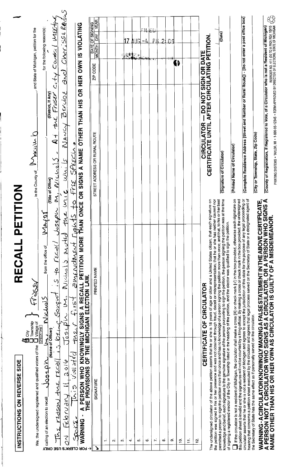| INSTRUCTIONS ON REVERSE SIDE                                                                                                                                                                                                                 | RECALL PET                                                                                                                                                                                                                                                                                                                                                                                                                                                                                                                                                                                                                                                                                                                                                                              | <b>ZOLTON</b>                                                                                                                        |                                                                                                |
|----------------------------------------------------------------------------------------------------------------------------------------------------------------------------------------------------------------------------------------------|-----------------------------------------------------------------------------------------------------------------------------------------------------------------------------------------------------------------------------------------------------------------------------------------------------------------------------------------------------------------------------------------------------------------------------------------------------------------------------------------------------------------------------------------------------------------------------------------------------------------------------------------------------------------------------------------------------------------------------------------------------------------------------------------|--------------------------------------------------------------------------------------------------------------------------------------|------------------------------------------------------------------------------------------------|
| FOR SATISFY AND REGISTER SERVING A TRINING AND REGISTER SERVING A TRINING A TRINING A TRINING A TRINING A TRINING A TRINING A TRINING A TRINING A TRINING A TRINING A TRINING A TRINING A TRINING A TRINING A TRINING A TRINI<br>We, the und |                                                                                                                                                                                                                                                                                                                                                                                                                                                                                                                                                                                                                                                                                                                                                                                         | In the County of Massim O                                                                                                            | and State of Michigan, petition for the                                                        |
| calling of an                                                                                                                                                                                                                                | VIAYOT<br>from the office of<br>Nichols                                                                                                                                                                                                                                                                                                                                                                                                                                                                                                                                                                                                                                                                                                                                                 |                                                                                                                                      | for the following reason(s):                                                                   |
| election to recall $\triangle$ $\Omega$ $\Omega_{\rm g}$<br>∱<br><b>LOR CLERK'S USE ONLY</b>                                                                                                                                                 | $\frac{r$<br>$\frac{r}{2}$ $\frac{r}{2}$ $\frac{r}{2}$ $\frac{r}{2}$ $\frac{r}{2}$ $\frac{r}{2}$ $\frac{r}{2}$ $\frac{r}{2}$ $\frac{r}{2}$ $\frac{r}{2}$ $\frac{r}{2}$ $\frac{r}{2}$ $\frac{r}{2}$ $\frac{r}{2}$ $\frac{r}{2}$ $\frac{r}{2}$ $\frac{r}{2}$ $\frac{r}{2}$ $\frac{r}{2}$ $\frac{r}{2}$ $\frac{r}{2}$ $\frac$                                                                                                                                                                                                                                                                                                                                                                                                                                                              | (District, if Any)<br>$A + \text{ and }$ Fraser<br>$\ddot{\phantom{0}}$<br>$Nic\omega iS$<br>(Title of Office)<br>$M_{\rm L}$        | CITY JOURNAL WISH                                                                              |
| allocatil Fuenous<br>र<br>0                                                                                                                                                                                                                  |                                                                                                                                                                                                                                                                                                                                                                                                                                                                                                                                                                                                                                                                                                                                                                                         | BENJOE<br>ノリマペン<br>کا ،مالیہ                                                                                                         | $\mathcal{L}$<br>and Cheriss: Red                                                              |
| ندی                                                                                                                                                                                                                                          | This violated may first amendment reacts to frie SPEECL.                                                                                                                                                                                                                                                                                                                                                                                                                                                                                                                                                                                                                                                                                                                                |                                                                                                                                      |                                                                                                |
| ່<br>2<br>Z<br>WARNI<br>⇥                                                                                                                                                                                                                    | A PERSON WHO KNOWINGLY SIGNS A RECALL PETITION MORE THAN<br>THE PROVISIONS OF THE MICHIGAN ELECTION LAW.                                                                                                                                                                                                                                                                                                                                                                                                                                                                                                                                                                                                                                                                                | $\frac{1}{2}$<br>ONCE OR SIGNS A NAME OTHER THAN HIS                                                                                 | HER OWN IS VIOLATING                                                                           |
| SIGNATURE<br>↘                                                                                                                                                                                                                               | PRINTED NAME                                                                                                                                                                                                                                                                                                                                                                                                                                                                                                                                                                                                                                                                                                                                                                            | STREET ADDRESS OR RURAL ROUTE                                                                                                        | <b>YEAR</b><br><b>DATE OF SIGNING</b><br>$\frac{\Delta Y}{\Delta}$<br><b>MONTH</b><br>ZIP CODE |
| $\overline{\phantom{0}}$                                                                                                                                                                                                                     |                                                                                                                                                                                                                                                                                                                                                                                                                                                                                                                                                                                                                                                                                                                                                                                         |                                                                                                                                      |                                                                                                |
| $\sim$                                                                                                                                                                                                                                       |                                                                                                                                                                                                                                                                                                                                                                                                                                                                                                                                                                                                                                                                                                                                                                                         |                                                                                                                                      |                                                                                                |
| ო                                                                                                                                                                                                                                            |                                                                                                                                                                                                                                                                                                                                                                                                                                                                                                                                                                                                                                                                                                                                                                                         |                                                                                                                                      |                                                                                                |
| $\rightarrow$                                                                                                                                                                                                                                |                                                                                                                                                                                                                                                                                                                                                                                                                                                                                                                                                                                                                                                                                                                                                                                         |                                                                                                                                      | 17<br>机制造                                                                                      |
| ю                                                                                                                                                                                                                                            |                                                                                                                                                                                                                                                                                                                                                                                                                                                                                                                                                                                                                                                                                                                                                                                         |                                                                                                                                      | <b>AUG</b><br>$\mathbb{R}$                                                                     |
| ٥Ó                                                                                                                                                                                                                                           |                                                                                                                                                                                                                                                                                                                                                                                                                                                                                                                                                                                                                                                                                                                                                                                         |                                                                                                                                      | Ħ<br>— L                                                                                       |
| r.                                                                                                                                                                                                                                           |                                                                                                                                                                                                                                                                                                                                                                                                                                                                                                                                                                                                                                                                                                                                                                                         |                                                                                                                                      | РÆ                                                                                             |
| $\infty$                                                                                                                                                                                                                                     |                                                                                                                                                                                                                                                                                                                                                                                                                                                                                                                                                                                                                                                                                                                                                                                         |                                                                                                                                      | 21                                                                                             |
| o.                                                                                                                                                                                                                                           |                                                                                                                                                                                                                                                                                                                                                                                                                                                                                                                                                                                                                                                                                                                                                                                         |                                                                                                                                      | $\cap$ $\cap$                                                                                  |
| <u>۽</u>                                                                                                                                                                                                                                     |                                                                                                                                                                                                                                                                                                                                                                                                                                                                                                                                                                                                                                                                                                                                                                                         |                                                                                                                                      | ß                                                                                              |
| Ξ                                                                                                                                                                                                                                            |                                                                                                                                                                                                                                                                                                                                                                                                                                                                                                                                                                                                                                                                                                                                                                                         |                                                                                                                                      |                                                                                                |
| ېغ.                                                                                                                                                                                                                                          |                                                                                                                                                                                                                                                                                                                                                                                                                                                                                                                                                                                                                                                                                                                                                                                         |                                                                                                                                      |                                                                                                |
|                                                                                                                                                                                                                                              | CERTIFICATE OF CIRCULATOR                                                                                                                                                                                                                                                                                                                                                                                                                                                                                                                                                                                                                                                                                                                                                               | CIRCULATOR - DO NOT SIGN OR DATE                                                                                                     |                                                                                                |
|                                                                                                                                                                                                                                              | The undersigned circulator of the above petition asserts that he or she is 18 years of age or older and a United States citizen; that each signature on<br>permitted a person to sign the petition more than once and has no knowledge of a person signing the petition more than once; and that, to his or her best<br>the petition was signed in his or her presence and was not obtained through fraud, deceit or misrepresentation; that he or she has neither caused nor<br>knowledge and belief, each signature is the genuine signature of the person purporting to sign the petition, the person signing the petition was<br>of signing a registered elector of the City or Township listed in the heading of the petition, and the elector was qualified to sign the petition. | CERTIFICATE UNTIL AFTER CIRCULATING PETITION<br>(Signature of Circulator)<br>at the time                                             | (Date)                                                                                         |
|                                                                                                                                                                                                                                              | If the circulator is not a resident of Michigan, the circulator shall make a cross [X] or check mark [v] in the box provided, otherwise each signature on<br>circulator asserts that he or she is not a resident of Michigan and agrees to accept the jurisdiction of this state for the purpose of any legal proceeding or<br>hearing that concerns a petition sheet executed by the circulat<br>this petition sheet is invalid and the signatures will not be counted by a filing official. By making a cross or check mark in the box provided, the undersigned                                                                                                                                                                                                                      | (Complete Residence Address [Street and Number or Rural Route]) - [Do not enter a post office box]<br>(Printed Name of Circulator)   |                                                                                                |
|                                                                                                                                                                                                                                              |                                                                                                                                                                                                                                                                                                                                                                                                                                                                                                                                                                                                                                                                                                                                                                                         | (City or Township, State, Zip Code)                                                                                                  |                                                                                                |
|                                                                                                                                                                                                                                              | WARNING - A CIRCULATOR KNOWINGLY MAKING A FALSE STATEMENT IN THE ABOVE CERTIFICATE,<br>A PERSON NOT A CIRCULATOR WHO SIGNS AS A CIRCULATOR, OR A PERSON WHO SIGNS A<br>NAME OTHER THAN HIS OR HER OWN AS CIRCULATOR IS GUILTY OF A M                                                                                                                                                                                                                                                                                                                                                                                                                                                                                                                                                    | (County of Registration, if Registered to Vote, of a Circulator who is not a Resident of Michigan                                    |                                                                                                |
|                                                                                                                                                                                                                                              |                                                                                                                                                                                                                                                                                                                                                                                                                                                                                                                                                                                                                                                                                                                                                                                         | PRINTING SYSTEMS • TAYLOR, MI • 1-800-95-12343 • FORM APPROVED BY DIRECTOR OF ELECTIONS, STATE OF MICHIGAN $\overleftrightarrow{CP}$ |                                                                                                |

 $\frac{1}{2}$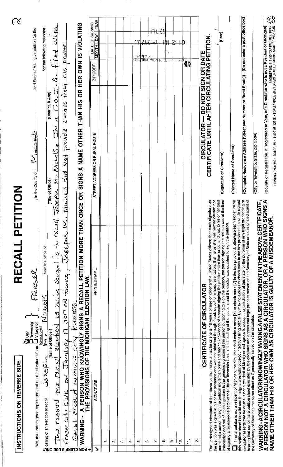| NOIL<br>RECALL PET<br>INSTRUCTIONS ON REVERSE SIDE                                                                                                                                                                                                                                                                                                                                                                                                                                                                                                                                                                                                                                                                                                             | <u>(L</u>                                                                                                                                                                                                                                  |
|----------------------------------------------------------------------------------------------------------------------------------------------------------------------------------------------------------------------------------------------------------------------------------------------------------------------------------------------------------------------------------------------------------------------------------------------------------------------------------------------------------------------------------------------------------------------------------------------------------------------------------------------------------------------------------------------------------------------------------------------------------------|--------------------------------------------------------------------------------------------------------------------------------------------------------------------------------------------------------------------------------------------|
| , in the County of<br><b>CO</b> City<br><b>CO</b> City<br><b>CO</b> CO CO CO CO CO CONSIDERS of the CO Willage of<br>CONSIGNATION CONSIDERS CONSIDERS A fixed contract<br>We, the und                                                                                                                                                                                                                                                                                                                                                                                                                                                                                                                                                                          | , and State of Michigan, petition for the<br>لماحلا هكة الممالا                                                                                                                                                                            |
| (Title of Office)<br>$M$ $L$ $L$ $M$ $S$ $I$ $I$ $I$ $I$ $I$ $I$ $I$ $I$ $I$<br>$\sum$<br>WOSSPL<br>election to recall<br>calling of an                                                                                                                                                                                                                                                                                                                                                                                                                                                                                                                                                                                                                        | for the following reason(s):<br>(District, If Any)                                                                                                                                                                                         |
| Nuunis<br>्रं<br>Josepin<br>$\frac{122500}{122550}$ that $\frac{1}{222}$ $\frac{1}{222}$ $\frac{1}{222}$ $\frac{1}{222}$ $\frac{1}{222}$ $\frac{1}{222}$ $\frac{1}{222}$ $\frac{1}{222}$ $\frac{1}{222}$ $\frac{1}{222}$ $\frac{1}{222}$ $\frac{1}{222}$ $\frac{1}{222}$ $\frac{1}{222}$ $\frac{1}{222}$ $\frac{1}{222}$ $\frac{$<br>Ŋ<br><b>LOB CTEBK, 2 NSE ONLY</b>                                                                                                                                                                                                                                                                                                                                                                                         | $A - f_1$ ised with<br>F.O.<br>O<br>م<br>أ<br>$\bullet$                                                                                                                                                                                    |
| did Not<br><b>Nichais</b><br>Fress                                                                                                                                                                                                                                                                                                                                                                                                                                                                                                                                                                                                                                                                                                                             | Drivets<br>5/4<br>frain<br>Eungils<br>provck                                                                                                                                                                                               |
| RESPONSING PLIS POINT INVOLT<br>جريزي                                                                                                                                                                                                                                                                                                                                                                                                                                                                                                                                                                                                                                                                                                                          |                                                                                                                                                                                                                                            |
| <b>SIGNS</b><br>õ<br><b>ONCE</b><br>NG - A PERSON WHO KNOWINGLY SIGNS A RECALL PETITION MORE THAN<br>THE PROVISIONS OF THE MICHIGAN ELECTION LAW.<br><b>WARNI</b><br>→                                                                                                                                                                                                                                                                                                                                                                                                                                                                                                                                                                                         | VIOLATING<br>HER OWN IS<br>$\overline{5}$<br>A NAME OTHER THAN HIS                                                                                                                                                                         |
| STREET ADDRESS OR RURAL ROUTE<br>PRINTED NAME<br>SIGNATURE<br>↘                                                                                                                                                                                                                                                                                                                                                                                                                                                                                                                                                                                                                                                                                                | <b>YEAR</b><br><b>DATE OF SIGNING</b><br>$\frac{N}{N}$<br><b>Havow</b><br>ZIP CODE                                                                                                                                                         |
| $\div$                                                                                                                                                                                                                                                                                                                                                                                                                                                                                                                                                                                                                                                                                                                                                         |                                                                                                                                                                                                                                            |
| $\mathbf{\Omega}$                                                                                                                                                                                                                                                                                                                                                                                                                                                                                                                                                                                                                                                                                                                                              |                                                                                                                                                                                                                                            |
| m                                                                                                                                                                                                                                                                                                                                                                                                                                                                                                                                                                                                                                                                                                                                                              |                                                                                                                                                                                                                                            |
| $\div$                                                                                                                                                                                                                                                                                                                                                                                                                                                                                                                                                                                                                                                                                                                                                         |                                                                                                                                                                                                                                            |
| ю                                                                                                                                                                                                                                                                                                                                                                                                                                                                                                                                                                                                                                                                                                                                                              | 17                                                                                                                                                                                                                                         |
| co.                                                                                                                                                                                                                                                                                                                                                                                                                                                                                                                                                                                                                                                                                                                                                            | $A \cup C$                                                                                                                                                                                                                                 |
| K.                                                                                                                                                                                                                                                                                                                                                                                                                                                                                                                                                                                                                                                                                                                                                             | 電話に回収す。                                                                                                                                                                                                                                    |
| œ                                                                                                                                                                                                                                                                                                                                                                                                                                                                                                                                                                                                                                                                                                                                                              | Âģ                                                                                                                                                                                                                                         |
| $\sigma$                                                                                                                                                                                                                                                                                                                                                                                                                                                                                                                                                                                                                                                                                                                                                       |                                                                                                                                                                                                                                            |
| ₽                                                                                                                                                                                                                                                                                                                                                                                                                                                                                                                                                                                                                                                                                                                                                              |                                                                                                                                                                                                                                            |
| Ξ                                                                                                                                                                                                                                                                                                                                                                                                                                                                                                                                                                                                                                                                                                                                                              | 61                                                                                                                                                                                                                                         |
| 흔                                                                                                                                                                                                                                                                                                                                                                                                                                                                                                                                                                                                                                                                                                                                                              |                                                                                                                                                                                                                                            |
| <b>CERTIFICATE OF CIRCULATOR</b>                                                                                                                                                                                                                                                                                                                                                                                                                                                                                                                                                                                                                                                                                                                               | <b>CIRCULATOR — DO NOT SIGN OR DATE<br/>CERTIFICATE UNTIL AFTER CIRCULATING PETITION</b>                                                                                                                                                   |
| (Signature of Circulator)<br>at the time<br>The undersigned circulator of the above petition asserts that he or she is 18 years of age or older and a United States citizen; that each signature on<br>permitted a person to sign the petition more than once and has no knowledge of a person signing the petition more than once; and that, to his or her best<br>the petition was signed in his or her presence and was not obtained through fraud, deceit or misrepresentation; that he or she has neither caused nor<br>knowledge and belief, each signature is the genuine signature of the person purporting to sign the petition, the person signing the petition was<br>of signing a registered elector of the City or Township listed in the heading | (Date)                                                                                                                                                                                                                                     |
| (Printed Name of Circulator)<br>circulator asserts that he or she is not a resident of Michigan and agrees to accept the jurisdiction of this state for the purpose of any legal proceeding or<br>hearing that concerns a petition sheet executed by the circulat<br>If the circulator is not a resident of Michigan, the circulator shall make a cross [X] or check mark [V] in the box provided, otherwise each signature on<br>this petition sheet is invalid and the signatures will not be counted by a filing official. By making a cross or check mark in the box provided, the undersigned                                                                                                                                                             | (Complete Residence Address [Street and Number or Rural Route]) - [Do not enter a post office box]                                                                                                                                         |
| (City or Township, State, Zip Code)<br>the Secretary of State has the same effect as if personally served on the circulator.                                                                                                                                                                                                                                                                                                                                                                                                                                                                                                                                                                                                                                   |                                                                                                                                                                                                                                            |
| WARNING-ACIRCULATOR KNOWINGLY MAKING A FALSE STATEMENT IN THE ABOVE CERTIFICATE,<br>A PERSON NOT A CIRCULATOR WHO SIGNS AS A CIRCULATOR, OR A PERSON WHO SIGNS A<br>NAME OTHER THAN HIS OR HER OWN AS CIRCULATOR IS GUILTY OF A MISD                                                                                                                                                                                                                                                                                                                                                                                                                                                                                                                           | PRINTING SYSTEMS • TAYLOR, MI • 1-800-95-12345 • FORM APPROVED BY DIRECTOR OF ELECTIONS, STATE OF MICHIGAN $\overleftrightarrow{C_1}$<br>(County of Registration, if Registered to Vote, of a Circulator who is not a Resident of Michigan |

 $\hat{\boldsymbol{\beta}}$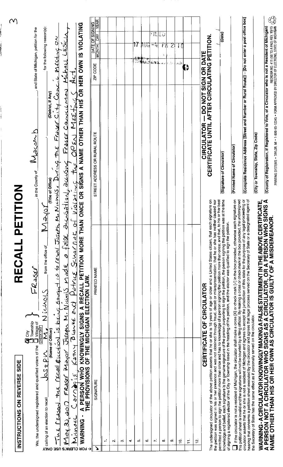| RECALL PETITION<br>SIDE<br>Si<br>CTIONS ON REVERSE<br><b>INSTRL</b>                                                                                                                                                                                                                                                                                                                                                                                                                                                                                           | $\curvearrowright$                                                                                                                                |
|---------------------------------------------------------------------------------------------------------------------------------------------------------------------------------------------------------------------------------------------------------------------------------------------------------------------------------------------------------------------------------------------------------------------------------------------------------------------------------------------------------------------------------------------------------------|---------------------------------------------------------------------------------------------------------------------------------------------------|
| FRASU<br><b>Cal</b> City<br><b>Chrownship</b><br>We, the undersigned registered and qualified voters of the                                                                                                                                                                                                                                                                                                                                                                                                                                                   | and State of Michigan, petition for the<br>Nosenb<br>in the County of                                                                             |
| <b>IONS</b><br>$\sum$<br>_ from the office of<br>Nichols<br>$\frac{\overline{\Box}$ Village of<br>$\frac{\overline{\Box \text{HECK ONE}}}{\overline{\Diamond L}}$<br>(Name of Officer)<br><u>JOSZPN</u><br>an election to recall<br>calling of                                                                                                                                                                                                                                                                                                                | for the following reason(s):<br>(District, if Any)<br>(Title of Office)                                                                           |
| Tue reason the real exction is being sought is to real Juseph Michols, During                                                                                                                                                                                                                                                                                                                                                                                                                                                                                 | $\zeta$<br>L MESTING<br>عدي<br>$F_{Id}\simeq 0.44$<br>$T\sim Z$                                                                                   |
| $U:Q \to +\infty$<br>Ċ<br>13) and FRasse Mayor Juseph Minimils Mark a false<br>Carnaris, Kam Palante Pullies Schornes<br>Micno <u>ec</u><br><b>Now</b><br><b>LOR CLERK'S USE ONLY</b>                                                                                                                                                                                                                                                                                                                                                                         | Justa<br>Justa<br>Michasl<br>てい<br>Frassy Councilmen<br>OPEN MESTING<br><b>WOUTHON, DOCUONG</b><br>the                                            |
| A PERSON WHO KNOWINGLY SIGNS A RECALL PETITION MORE THAN ONCE OR SIGNS A NAME OTHER THAN HIS OR HER OWN IS VIOLATING<br>THE PROVISIONS OF THE MICHIGAN ELECTION LAW.<br>- SNINGW<br>⇥                                                                                                                                                                                                                                                                                                                                                                         |                                                                                                                                                   |
| PRINTED NAME<br>SIGNATURE                                                                                                                                                                                                                                                                                                                                                                                                                                                                                                                                     | YEAR<br>DATE OF SIGNING<br>회<br><b>MONTH</b><br>ZIP CODE<br>STREET ADDRESS OR RURAL ROUTE                                                         |
| $\div$                                                                                                                                                                                                                                                                                                                                                                                                                                                                                                                                                        |                                                                                                                                                   |
| $\mathbf{N}$                                                                                                                                                                                                                                                                                                                                                                                                                                                                                                                                                  |                                                                                                                                                   |
| ొ                                                                                                                                                                                                                                                                                                                                                                                                                                                                                                                                                             |                                                                                                                                                   |
| $\rightarrow$                                                                                                                                                                                                                                                                                                                                                                                                                                                                                                                                                 |                                                                                                                                                   |
| ю,                                                                                                                                                                                                                                                                                                                                                                                                                                                                                                                                                            |                                                                                                                                                   |
| G.                                                                                                                                                                                                                                                                                                                                                                                                                                                                                                                                                            | ी एत<br>●「本                                                                                                                                       |
| $\overline{\phantom{a}}$                                                                                                                                                                                                                                                                                                                                                                                                                                                                                                                                      | FILED<br>差罪                                                                                                                                       |
| $\infty$                                                                                                                                                                                                                                                                                                                                                                                                                                                                                                                                                      | ۲đ<br>4.                                                                                                                                          |
| $\sigma$                                                                                                                                                                                                                                                                                                                                                                                                                                                                                                                                                      | Z                                                                                                                                                 |
| <u>ہ</u>                                                                                                                                                                                                                                                                                                                                                                                                                                                                                                                                                      | 病毒                                                                                                                                                |
| F                                                                                                                                                                                                                                                                                                                                                                                                                                                                                                                                                             | ŧ,                                                                                                                                                |
| 흔                                                                                                                                                                                                                                                                                                                                                                                                                                                                                                                                                             |                                                                                                                                                   |
| CERTIFICATE OF CIRCULATOR                                                                                                                                                                                                                                                                                                                                                                                                                                                                                                                                     | <b>CIRCULATOR — DO NOT SIGN OR DATE<br/>CERTIFICATE UNTIL AFTER CIRCULATING PETITION</b>                                                          |
| The undersigned circulator of the above petition asserts that he or she is 18 years of age or older and a United States citizen; that each signature on<br>the petition was signed in his or her presence and was not obtained th<br>knowledge and belief, each signature is the genuine signature of the person purporting to sign the persion, the person signing the petition was at the time<br>permitted a person to sign the petition more than once and has no knowledge of a person signing the petition more than once; and that, to his or her best | (Date)<br>(Signature of Circulator)                                                                                                               |
| registered elector of the City or Township listed in the heading of the petition, and the elector was qualified to sign the petition.<br>of signing a                                                                                                                                                                                                                                                                                                                                                                                                         |                                                                                                                                                   |
| $c$ ulator is not a resident of Michigan, the circulator shall make a cross [X] or check mark $\{V\}$ in the box provided, otherwise each signature on<br>undersigned<br>this petition sheet is invalid and the signatures will not be counted by a filing official. By making a cross or check mark in the box provided. the<br>$\Box$ If the cir                                                                                                                                                                                                            | (Printed Name of Circulator)                                                                                                                      |
| concerns a petition sheet executed by the circulator and agrees that legal process served on the Secretary of State or a designated agent of<br>circulator asserts that he or she is not a resident of Michigan and agrees to accept the jurisdiction of this state for the purpose of any legal proceeding or<br>y of State has the same effect as if personally served on the circulator.<br>the Secretar<br>hearing that                                                                                                                                   | (Complete Residence Address [Street and Number or Rural Route]) - [Do not enter a post office box]                                                |
|                                                                                                                                                                                                                                                                                                                                                                                                                                                                                                                                                               | (City or Township, State, Zip Code)                                                                                                               |
| WARNING-ACIRCULATOR KNOWINGLY MAKING A FALSE STATEMENT IN THE ABOVE CERTIFICATE,<br>A PERSON NOT A CIRCULATOR WHO SIGNS AS A CIRCULATOR, OR A PERSON WHO SIGNS A<br>NAME OTHER THAN HIS OR HER OWN AS CIRCULATOR IS GUILTY OF A MISD                                                                                                                                                                                                                                                                                                                          | (County of Registration, if Registered to Vote, of a Circulator who is not a Resident of Michigan)                                                |
|                                                                                                                                                                                                                                                                                                                                                                                                                                                                                                                                                               | PRINTING SYSTEMS • TAYLOR, MI • 1-800-95-12345 • FORM APPROVED BY DIRECTOR OF ELECTIONS, STATE OF MICHIGAN $\overleftrightarrow{C_{\mathcal{C}}}$ |

 $\overline{\phantom{a}}$